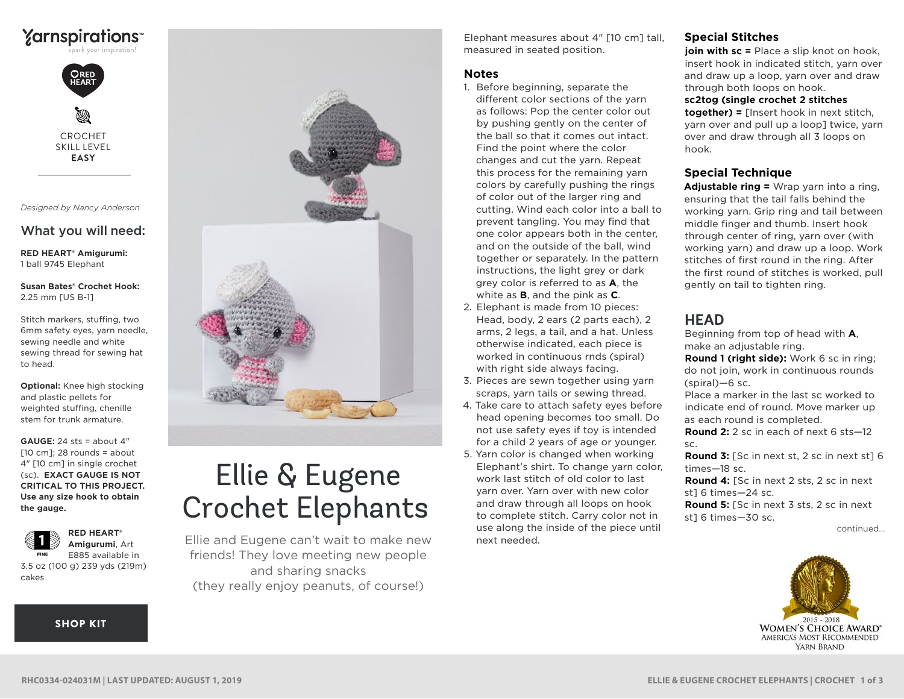



CROCHET SKILL LEVEL **EASY**

*Designed by Nancy Anderson*

# What you will need:

**RED HEART® Amigurumi:** 1 ball 9745 Elephant

**Susan Bates® Crochet Hook:** 2.25 mm [US B-1]

Stitch markers, stuffing, two 6mm safety eyes, yarn needle, sewing needle and white sewing thread for sewing hat to head.

**Optional:** Knee high stocking and plastic pellets for weighted stuffing, chenille stem for trunk armature.

**GAUGE:** 24 sts = about 4"  $[10 cm]$ ; 28 rounds = about 4" [10 cm] in single crochet (sc). **EXACT GAUGE IS NOT CRITICAL TO THIS PROJECT. Use any size hook to obtain the gauge.**



E885 available in 3.5 oz (100 g) 239 yds (219m) cakes

**[SHOP KIT](https://www.yarnspirations.com/red-heart-ellie-and-eugene-crochet-elephants/RHC0334-024031M.html#utm_source=pdf-yarnspirations&utm_medium=referral&utm_campaign=pdf-RHC0334-024031M)** 



# Ellie & Eugene Crochet Elephants

Ellie and Eugene can't wait to make new friends! They love meeting new people and sharing snacks (they really enjoy peanuts, of course!)

Elephant measures about 4" [10 cm] tall, measured in seated position.

#### **Notes**

- 1. Before beginning, separate the different color sections of the yarn as follows: Pop the center color out by pushing gently on the center of the ball so that it comes out intact. Find the point where the color changes and cut the yarn. Repeat this process for the remaining yarn colors by carefully pushing the rings of color out of the larger ring and cutting. Wind each color into a ball to prevent tangling. You may find that one color appears both in the center, and on the outside of the ball, wind together or separately. In the pattern instructions, the light grey or dark grey color is referred to as **A**, the white as **B**, and the pink as **C**.
- 2. Elephant is made from 10 pieces: Head, body, 2 ears (2 parts each), 2 arms, 2 legs, a tail, and a hat. Unless otherwise indicated, each piece is worked in continuous rnds (spiral) with right side always facing.
- 3. Pieces are sewn together using yarn scraps, yarn tails or sewing thread.
- 4. Take care to attach safety eyes before head opening becomes too small. Do not use safety eyes if toy is intended for a child 2 years of age or younger.
- 5. Yarn color is changed when working Elephant's shirt. To change yarn color, work last stitch of old color to last yarn over. Yarn over with new color and draw through all loops on hook to complete stitch. Carry color not in use along the inside of the piece until next needed.

#### **Special Stitches**

**join with sc =** Place a slip knot on hook, insert hook in indicated stitch, yarn over and draw up a loop, yarn over and draw through both loops on hook.

#### **sc2tog (single crochet 2 stitches**

**together) =** [Insert hook in next stitch, yarn over and pull up a loop] twice, yarn over and draw through all 3 loops on hook.

#### **Special Technique**

**Adjustable ring =** Wrap yarn into a ring, ensuring that the tail falls behind the working yarn. Grip ring and tail between middle finger and thumb. Insert hook through center of ring, yarn over (with working yarn) and draw up a loop. Work stitches of first round in the ring. After the first round of stitches is worked, pull gently on tail to tighten ring.

## **HEAD**

Beginning from top of head with **A**, make an adjustable ring.

**Round 1 (right side):** Work 6 sc in ring; do not join, work in continuous rounds (spiral)—6 sc.

Place a marker in the last sc worked to indicate end of round. Move marker up as each round is completed.

**Round 2:** 2 sc in each of next 6 sts—12 sc.

**Round 3:** [Sc in next st, 2 sc in next st] 6 times—18 sc.

**Round 4:** [Sc in next 2 sts, 2 sc in next st] 6 times—24 sc.

**Round 5:** [Sc in next 3 sts, 2 sc in next st] 6 times—30 sc.

continued...

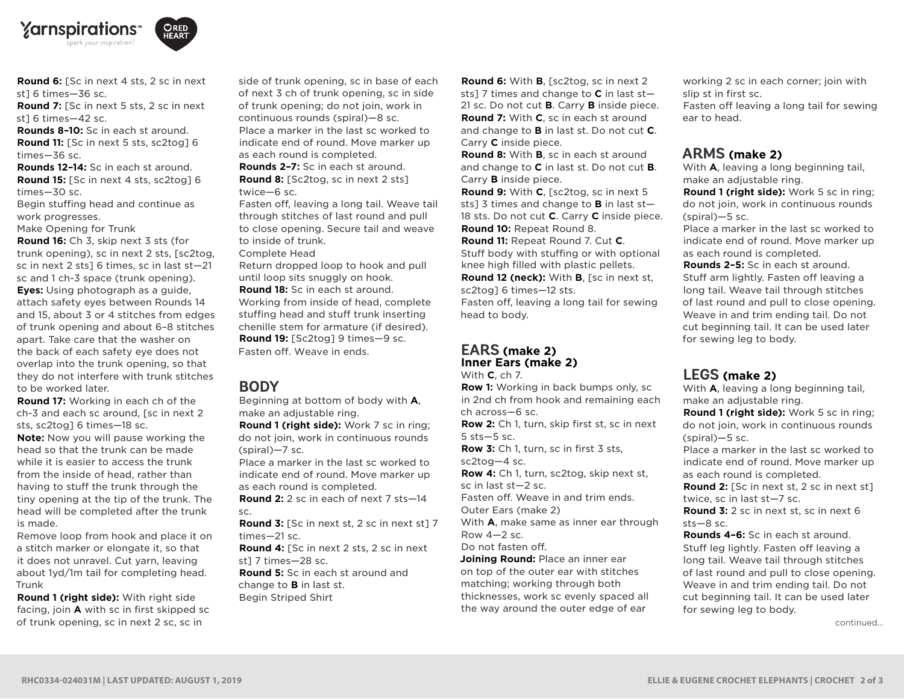



**Round 6:** [Sc in next 4 sts, 2 sc in next st] 6 times—36 sc.

**Round 7:** [Sc in next 5 sts, 2 sc in next st] 6 times—42 sc.

**Rounds 8–10:** Sc in each st around. **Round 11:** [Sc in next 5 sts, sc2tog] 6 times—36 sc.

**Rounds 12–14:** Sc in each st around. **Round 15:** [Sc in next 4 sts, sc2tog] 6 times—30 sc.

Begin stuffing head and continue as work progresses.

Make Opening for Trunk

**Round 16:** Ch 3, skip next 3 sts (for trunk opening), sc in next 2 sts, [sc2tog, sc in next 2 sts] 6 times, sc in last st—21 sc and 1 ch-3 space (trunk opening). **Eyes:** Using photograph as a guide, attach safety eyes between Rounds 14 and 15, about 3 or 4 stitches from edges of trunk opening and about 6–8 stitches apart. Take care that the washer on the back of each safety eye does not overlap into the trunk opening, so that they do not interfere with trunk stitches to be worked later.

**Round 17:** Working in each ch of the ch-3 and each sc around, [sc in next 2 sts, sc2tog] 6 times—18 sc.

**Note:** Now you will pause working the head so that the trunk can be made while it is easier to access the trunk from the inside of head, rather than having to stuff the trunk through the tiny opening at the tip of the trunk. The head will be completed after the trunk is made.

Remove loop from hook and place it on a stitch marker or elongate it, so that it does not unravel. Cut yarn, leaving about 1yd/1m tail for completing head. Trunk

**Round 1 (right side):** With right side facing, join **A** with sc in first skipped sc of trunk opening, sc in next 2 sc, sc in

side of trunk opening, sc in base of each of next 3 ch of trunk opening, sc in side of trunk opening; do not join, work in continuous rounds (spiral)—8 sc. Place a marker in the last sc worked to indicate end of round. Move marker up as each round is completed. **Rounds 2–7:** Sc in each st around. **Round 8:** [Sc2tog, sc in next 2 sts] twice—6 sc.

Fasten off, leaving a long tail. Weave tail through stitches of last round and pull to close opening. Secure tail and weave to inside of trunk.

Complete Head

Return dropped loop to hook and pull until loop sits snuggly on hook.

**Round 18:** Sc in each st around.

Working from inside of head, complete stuffing head and stuff trunk inserting chenille stem for armature (if desired). **Round 19:** [Sc2tog] 9 times—9 sc. Fasten off. Weave in ends.

### **BODY**

Beginning at bottom of body with **A**, make an adjustable ring.

**Round 1 (right side):** Work 7 sc in ring; do not join, work in continuous rounds (spiral)—7 sc.

Place a marker in the last sc worked to indicate end of round. Move marker up as each round is completed.

**Round 2:** 2 sc in each of next 7 sts—14 sc.

**Round 3:** [Sc in next st, 2 sc in next st] 7 times—21 sc. **Round 4:** [Sc in next 2 sts, 2 sc in next

st] 7 times—28 sc. **Round 5:** Sc in each st around and change to **B** in last st. Begin Striped Shirt

**Round 6:** With **B**, [sc2tog, sc in next 2 sts] 7 times and change to **C** in last st— 21 sc. Do not cut **B**. Carry **B** inside piece. **Round 7:** With **C**, sc in each st around and change to **B** in last st. Do not cut **C**. Carry **C** inside piece.

**Round 8:** With **B**, sc in each st around and change to **C** in last st. Do not cut **B**. Carry **B** inside piece.

**Round 9:** With **C**, [sc2tog, sc in next 5 sts] 3 times and change to **B** in last st— 18 sts. Do not cut **C**. Carry **C** inside piece. **Round 10:** Repeat Round 8.

**Round 11:** Repeat Round 7. Cut **C**. Stuff body with stuffing or with optional knee high filled with plastic pellets.

**Round 12 (neck):** With **B**, [sc in next st, sc2tog] 6 times—12 sts. Fasten off, leaving a long tail for sewing head to body.

#### **EARS (make 2) Inner Ears (make 2)**

With **C**, ch 7.

**Row 1:** Working in back bumps only, sc in 2nd ch from hook and remaining each ch across—6 sc.

**Row 2:** Ch 1, turn, skip first st, sc in next 5 sts—5 sc.

**Row 3:** Ch 1, turn, sc in first 3 sts, sc2tog—4 sc.

**Row 4:** Ch 1, turn, sc2tog, skip next st, sc in last st—2 sc.

Fasten off. Weave in and trim ends.

Outer Ears (make 2)

With **A**, make same as inner ear through Row 4—2 sc.

Do not fasten off.

**Joining Round:** Place an inner ear on top of the outer ear with stitches matching; working through both thicknesses, work sc evenly spaced all the way around the outer edge of ear

working 2 sc in each corner; join with slip st in first sc.

Fasten off leaving a long tail for sewing ear to head.

#### **ARMS (make 2)**

With **A**, leaving a long beginning tail, make an adjustable ring.

**Round 1 (right side):** Work 5 sc in ring; do not join, work in continuous rounds (spiral)—5 sc.

Place a marker in the last sc worked to indicate end of round. Move marker up as each round is completed.

**Rounds 2–5:** Sc in each st around. Stuff arm lightly. Fasten off leaving a long tail. Weave tail through stitches of last round and pull to close opening. Weave in and trim ending tail. Do not cut beginning tail. It can be used later for sewing leg to body.

# **LEGS (make 2)**

With **A**, leaving a long beginning tail, make an adjustable ring.

**Round 1 (right side):** Work 5 sc in ring; do not join, work in continuous rounds (spiral)—5 sc.

Place a marker in the last sc worked to indicate end of round. Move marker up as each round is completed.

**Round 2:** [Sc in next st, 2 sc in next st] twice, sc in last st—7 sc.

**Round 3:** 2 sc in next st, sc in next 6 sts—8 sc.

**Rounds 4–6:** Sc in each st around. Stuff leg lightly. Fasten off leaving a long tail. Weave tail through stitches of last round and pull to close opening. Weave in and trim ending tail. Do not cut beginning tail. It can be used later for sewing leg to body.

continued...